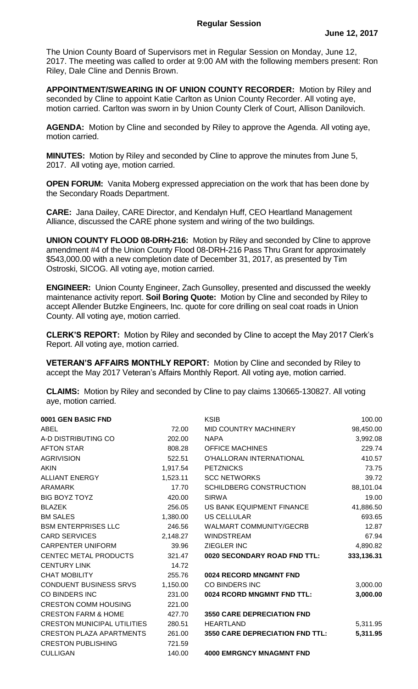The Union County Board of Supervisors met in Regular Session on Monday, June 12, 2017. The meeting was called to order at 9:00 AM with the following members present: Ron Riley, Dale Cline and Dennis Brown.

**APPOINTMENT/SWEARING IN OF UNION COUNTY RECORDER:** Motion by Riley and seconded by Cline to appoint Katie Carlton as Union County Recorder. All voting aye, motion carried. Carlton was sworn in by Union County Clerk of Court, Allison Danilovich.

**AGENDA:** Motion by Cline and seconded by Riley to approve the Agenda. All voting aye, motion carried.

**MINUTES:** Motion by Riley and seconded by Cline to approve the minutes from June 5, 2017. All voting aye, motion carried.

**OPEN FORUM:** Vanita Moberg expressed appreciation on the work that has been done by the Secondary Roads Department.

**CARE:** Jana Dailey, CARE Director, and Kendalyn Huff, CEO Heartland Management Alliance, discussed the CARE phone system and wiring of the two buildings.

**UNION COUNTY FLOOD 08-DRH-216:** Motion by Riley and seconded by Cline to approve amendment #4 of the Union County Flood 08-DRH-216 Pass Thru Grant for approximately \$543,000.00 with a new completion date of December 31, 2017, as presented by Tim Ostroski, SICOG. All voting aye, motion carried.

**ENGINEER:** Union County Engineer, Zach Gunsolley, presented and discussed the weekly maintenance activity report. **Soil Boring Quote:** Motion by Cline and seconded by Riley to accept Allender Butzke Engineers, Inc. quote for core drilling on seal coat roads in Union County. All voting aye, motion carried.

**CLERK'S REPORT:** Motion by Riley and seconded by Cline to accept the May 2017 Clerk's Report. All voting aye, motion carried.

**VETERAN'S AFFAIRS MONTHLY REPORT:** Motion by Cline and seconded by Riley to accept the May 2017 Veteran's Affairs Monthly Report. All voting aye, motion carried.

**CLAIMS:** Motion by Riley and seconded by Cline to pay claims 130665-130827. All voting aye, motion carried.

| 0001 GEN BASIC FND                 |          | <b>KSIB</b>                            | 100.00     |
|------------------------------------|----------|----------------------------------------|------------|
| ABEL                               | 72.00    | MID COUNTRY MACHINERY                  | 98,450.00  |
| A-D DISTRIBUTING CO                | 202.00   | <b>NAPA</b>                            | 3,992.08   |
| <b>AFTON STAR</b>                  | 808.28   | <b>OFFICE MACHINES</b>                 | 229.74     |
| <b>AGRIVISION</b>                  | 522.51   | O'HALLORAN INTERNATIONAL               | 410.57     |
| <b>AKIN</b>                        | 1,917.54 | <b>PETZNICKS</b>                       | 73.75      |
| <b>ALLIANT ENERGY</b>              | 1,523.11 | <b>SCC NETWORKS</b>                    | 39.72      |
| <b>ARAMARK</b>                     | 17.70    | <b>SCHILDBERG CONSTRUCTION</b>         | 88,101.04  |
| <b>BIG BOYZ TOYZ</b>               | 420.00   | <b>SIRWA</b>                           | 19.00      |
| <b>BLAZEK</b>                      | 256.05   | US BANK EQUIPMENT FINANCE              | 41,886.50  |
| <b>BM SALES</b>                    | 1,380.00 | US CELLULAR                            | 693.65     |
| <b>BSM ENTERPRISES LLC</b>         | 246.56   | <b>WALMART COMMUNITY/GECRB</b>         | 12.87      |
| <b>CARD SERVICES</b>               | 2,148.27 | <b>WINDSTREAM</b>                      | 67.94      |
| <b>CARPENTER UNIFORM</b>           | 39.96    | <b>ZIEGLER INC</b>                     | 4,890.82   |
| <b>CENTEC METAL PRODUCTS</b>       | 321.47   | 0020 SECONDARY ROAD FND TTL:           | 333,136.31 |
| <b>CENTURY LINK</b>                | 14.72    |                                        |            |
| <b>CHAT MOBILITY</b>               | 255.76   | 0024 RECORD MNGMNT FND                 |            |
| <b>CONDUENT BUSINESS SRVS</b>      | 1,150.00 | <b>CO BINDERS INC</b>                  | 3,000.00   |
| <b>CO BINDERS INC</b>              | 231.00   | 0024 RCORD MNGMNT FND TTL:             | 3,000.00   |
| <b>CRESTON COMM HOUSING</b>        | 221.00   |                                        |            |
| <b>CRESTON FARM &amp; HOME</b>     | 427.70   | <b>3550 CARE DEPRECIATION FND</b>      |            |
| <b>CRESTON MUNICIPAL UTILITIES</b> | 280.51   | <b>HEARTLAND</b>                       | 5,311.95   |
| <b>CRESTON PLAZA APARTMENTS</b>    | 261.00   | <b>3550 CARE DEPRECIATION FND TTL:</b> | 5,311.95   |
| <b>CRESTON PUBLISHING</b>          | 721.59   |                                        |            |
| <b>CULLIGAN</b>                    | 140.00   | <b>4000 EMRGNCY MNAGMNT FND</b>        |            |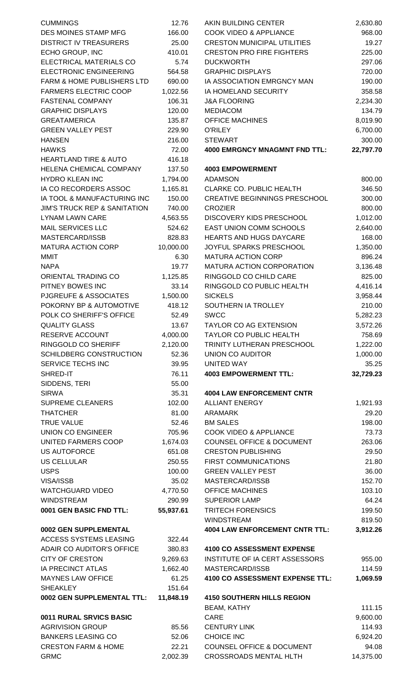| <b>CUMMINGS</b>                         | 12.76     | AKIN BUILDING CENTER                  | 2,630.80  |
|-----------------------------------------|-----------|---------------------------------------|-----------|
| DES MOINES STAMP MFG                    | 166.00    | <b>COOK VIDEO &amp; APPLIANCE</b>     | 968.00    |
| <b>DISTRICT IV TREASURERS</b>           | 25.00     | <b>CRESTON MUNICIPAL UTILITIES</b>    | 19.27     |
| ECHO GROUP, INC                         | 410.01    | <b>CRESTON PRO FIRE FIGHTERS</b>      | 225.00    |
| ELECTRICAL MATERIALS CO                 | 5.74      | <b>DUCKWORTH</b>                      | 297.06    |
| <b>ELECTRONIC ENGINEERING</b>           | 564.58    | <b>GRAPHIC DISPLAYS</b>               | 720.00    |
| FARM & HOME PUBLISHERS LTD              | 690.00    | IA ASSOCIATION EMRGNCY MAN            | 190.00    |
| <b>FARMERS ELECTRIC COOP</b>            | 1,022.56  | IA HOMELAND SECURITY                  | 358.58    |
| <b>FASTENAL COMPANY</b>                 | 106.31    | <b>J&amp;A FLOORING</b>               | 2,234.30  |
| <b>GRAPHIC DISPLAYS</b>                 | 120.00    | <b>MEDIACOM</b>                       | 134.79    |
| <b>GREATAMERICA</b>                     | 135.87    | <b>OFFICE MACHINES</b>                | 8,019.90  |
| <b>GREEN VALLEY PEST</b>                | 229.90    | <b>O'RILEY</b>                        | 6,700.00  |
| <b>HANSEN</b>                           | 216.00    | <b>STEWART</b>                        | 300.00    |
| <b>HAWKS</b>                            | 72.00     | <b>4000 EMRGNCY MNAGMNT FND TTL:</b>  | 22,797.70 |
| <b>HEARTLAND TIRE &amp; AUTO</b>        | 416.18    |                                       |           |
| HELENA CHEMICAL COMPANY                 | 137.50    | <b>4003 EMPOWERMENT</b>               |           |
| <b>HYDRO KLEAN INC</b>                  | 1,794.00  | <b>ADAMSON</b>                        | 800.00    |
| IA CO RECORDERS ASSOC                   | 1,165.81  | CLARKE CO. PUBLIC HEALTH              | 346.50    |
| IA TOOL & MANUFACTURING INC             | 150.00    | <b>CREATIVE BEGINNINGS PRESCHOOL</b>  | 300.00    |
| <b>JIM'S TRUCK REP &amp; SANITATION</b> | 740.00    | <b>CROZIER</b>                        | 800.00    |
| <b>LYNAM LAWN CARE</b>                  | 4,563.55  | DISCOVERY KIDS PRESCHOOL              | 1,012.00  |
| <b>MAIL SERVICES LLC</b>                | 524.62    | EAST UNION COMM SCHOOLS               | 2,640.00  |
| MASTERCARD/ISSB                         | 828.83    | <b>HEARTS AND HUGS DAYCARE</b>        | 168.00    |
| <b>MATURA ACTION CORP</b>               | 10,000.00 | JOYFUL SPARKS PRESCHOOL               | 1,350.00  |
| <b>MMIT</b>                             | 6.30      | <b>MATURA ACTION CORP</b>             | 896.24    |
| <b>NAPA</b>                             | 19.77     | MATURA ACTION CORPORATION             | 3,136.48  |
| ORIENTAL TRADING CO                     | 1,125.85  | RINGGOLD CO CHILD CARE                | 825.00    |
| PITNEY BOWES INC                        | 33.14     | RINGGOLD CO PUBLIC HEALTH             | 4,416.14  |
| PJGREUFE & ASSOCIATES                   | 1,500.00  | <b>SICKELS</b>                        | 3,958.44  |
| POKORNY BP & AUTOMOTIVE                 | 418.12    | SOUTHERN IA TROLLEY                   | 210.00    |
| POLK CO SHERIFF'S OFFICE                | 52.49     | <b>SWCC</b>                           | 5,282.23  |
| <b>QUALITY GLASS</b>                    | 13.67     | <b>TAYLOR CO AG EXTENSION</b>         | 3,572.26  |
| RESERVE ACCOUNT                         | 4,000.00  | TAYLOR CO PUBLIC HEALTH               | 758.69    |
| RINGGOLD CO SHERIFF                     | 2,120.00  | TRINITY LUTHERAN PRESCHOOL            | 1,222.00  |
|                                         |           |                                       |           |
| SCHILDBERG CONSTRUCTION                 | 52.36     | <b>UNION CO AUDITOR</b>               | 1,000.00  |
| SERVICE TECHS INC                       | 39.95     | UNITED WAY                            | 35.25     |
| SHRED-IT                                | 76.11     | <b>4003 EMPOWERMENT TTL:</b>          | 32,729.23 |
| SIDDENS, TERI                           | 55.00     |                                       |           |
| <b>SIRWA</b>                            | 35.31     | <b>4004 LAW ENFORCEMENT CNTR</b>      |           |
| SUPREME CLEANERS                        | 102.00    | <b>ALLIANT ENERGY</b>                 | 1,921.93  |
| <b>THATCHER</b>                         | 81.00     | <b>ARAMARK</b>                        | 29.20     |
| <b>TRUE VALUE</b>                       | 52.46     | <b>BM SALES</b>                       | 198.00    |
| UNION CO ENGINEER                       | 705.96    | <b>COOK VIDEO &amp; APPLIANCE</b>     | 73.73     |
| UNITED FARMERS COOP                     | 1,674.03  | <b>COUNSEL OFFICE &amp; DOCUMENT</b>  | 263.06    |
| <b>US AUTOFORCE</b>                     | 651.08    | <b>CRESTON PUBLISHING</b>             | 29.50     |
| US CELLULAR                             | 250.55    | FIRST COMMUNICATIONS                  | 21.80     |
| <b>USPS</b>                             | 100.00    | <b>GREEN VALLEY PEST</b>              | 36.00     |
| VISA/ISSB                               | 35.02     | MASTERCARD/ISSB                       | 152.70    |
| <b>WATCHGUARD VIDEO</b>                 | 4,770.50  | <b>OFFICE MACHINES</b>                | 103.10    |
| WINDSTREAM                              | 290.99    | SUPERIOR LAMP                         | 64.24     |
| 0001 GEN BASIC FND TTL:                 | 55,937.61 | <b>TRITECH FORENSICS</b>              | 199.50    |
|                                         |           | WINDSTREAM                            | 819.50    |
| 0002 GEN SUPPLEMENTAL                   |           | <b>4004 LAW ENFORCEMENT CNTR TTL:</b> | 3,912.26  |
| ACCESS SYSTEMS LEASING                  | 322.44    |                                       |           |
| ADAIR CO AUDITOR'S OFFICE               | 380.83    | <b>4100 CO ASSESSMENT EXPENSE</b>     |           |
| <b>CITY OF CRESTON</b>                  | 9,269.63  | INSTITUTE OF IA CERT ASSESSORS        | 955.00    |
| IA PRECINCT ATLAS                       | 1,662.40  | MASTERCARD/ISSB                       | 114.59    |
| <b>MAYNES LAW OFFICE</b>                | 61.25     | 4100 CO ASSESSMENT EXPENSE TTL:       | 1,069.59  |
| <b>SHEAKLEY</b>                         | 151.64    |                                       |           |
| 0002 GEN SUPPLEMENTAL TTL:              | 11,848.19 | <b>4150 SOUTHERN HILLS REGION</b>     |           |
|                                         |           | BEAM, KATHY                           | 111.15    |
| 0011 RURAL SRVICS BASIC                 |           | CARE                                  | 9,600.00  |
| <b>AGRIVISION GROUP</b>                 | 85.56     | <b>CENTURY LINK</b>                   | 114.93    |
| <b>BANKERS LEASING CO</b>               | 52.06     | <b>CHOICE INC</b>                     | 6,924.20  |
| <b>CRESTON FARM &amp; HOME</b>          | 22.21     | <b>COUNSEL OFFICE &amp; DOCUMENT</b>  | 94.08     |
| <b>GRMC</b>                             | 2,002.39  | <b>CROSSROADS MENTAL HLTH</b>         | 14,375.00 |